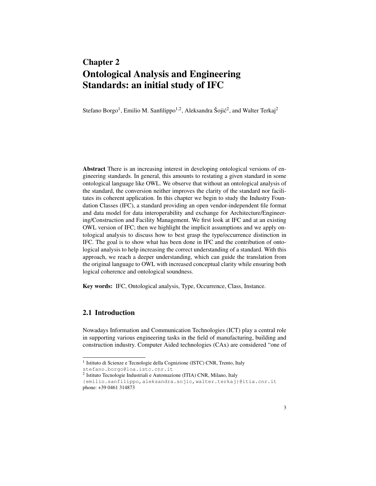# Chapter 2 Ontological Analysis and Engineering Standards: an initial study of IFC

Stefano Borgo<sup>1</sup>, Emilio M. Sanfilippo<sup>1,2</sup>, Aleksandra Šojić<sup>2</sup>, and Walter Terkaj<sup>2</sup>

Abstract There is an increasing interest in developing ontological versions of engineering standards. In general, this amounts to restating a given standard in some ontological language like OWL. We observe that without an ontological analysis of the standard, the conversion neither improves the clarity of the standard nor facilitates its coherent application. In this chapter we begin to study the Industry Foundation Classes (IFC), a standard providing an open vendor-independent file format and data model for data interoperability and exchange for Architecture/Engineering/Construction and Facility Management. We first look at IFC and at an existing OWL version of IFC; then we highlight the implicit assumptions and we apply ontological analysis to discuss how to best grasp the type/occurrence distinction in IFC. The goal is to show what has been done in IFC and the contribution of ontological analysis to help increasing the correct understanding of a standard. With this approach, we reach a deeper understanding, which can guide the translation from the original language to OWL with increased conceptual clarity while ensuring both logical coherence and ontological soundness.

Key words: IFC, Ontological analysis, Type, Occurrence, Class, Instance.

# 2.1 Introduction

Nowadays Information and Communication Technologies (ICT) play a central role in supporting various engineering tasks in the field of manufacturing, building and construction industry. Computer Aided technologies (CAx) are considered "one of

<sup>1</sup> Istituto di Scienze e Tecnologie della Cognizione (ISTC) CNR, Trento, Italy stefano.borgo@loa.istc.cnr.it

<sup>2</sup> Istituto Tecnologie Industriali e Automazione (ITIA) CNR, Milano, Italy

<sup>{</sup>emilio.sanfilippo,aleksandra.sojic,walter.terkaj}@itia.cnr.it phone: +39 0461 314873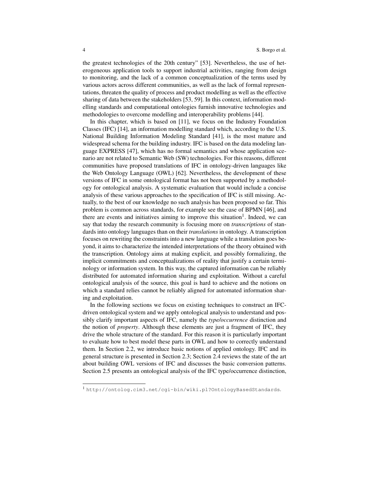the greatest technologies of the 20th century" [53]. Nevertheless, the use of heterogeneous application tools to support industrial activities, ranging from design to monitoring, and the lack of a common conceptualization of the terms used by various actors across different communities, as well as the lack of formal representations, threaten the quality of process and product modelling as well as the effective sharing of data between the stakeholders [53, 59]. In this context, information modelling standards and computational ontologies furnish innovative technologies and methodologies to overcome modelling and interoperability problems [44].

In this chapter, which is based on [11], we focus on the Industry Foundation Classes (IFC) [14], an information modelling standard which, according to the U.S. National Building Information Modeling Standard [41], is the most mature and widespread schema for the building industry. IFC is based on the data modeling language EXPRESS [47], which has no formal semantics and whose application scenario are not related to Semantic Web (SW) technologies. For this reasons, different communities have proposed translations of IFC in ontology-driven languages like the Web Ontology Language (OWL) [62]. Nevertheless, the development of these versions of IFC in some ontological format has not been supported by a methodology for ontological analysis. A systematic evaluation that would include a concise analysis of these various approaches to the specification of IFC is still missing. Actually, to the best of our knowledge no such analysis has been proposed so far. This problem is common across standards, for example see the case of BPMN [46], and there are events and initiatives aiming to improve this situation<sup>1</sup>. Indeed, we can say that today the research community is focusing more on *transcriptions* of standards into ontology languages than on their *translations* in ontology. A transcription focuses on rewriting the constraints into a new language while a translation goes beyond, it aims to characterize the intended interpretations of the theory obtained with the transcription. Ontology aims at making explicit, and possibly formalizing, the implicit commitments and conceptualizations of reality that justify a certain terminology or information system. In this way, the captured information can be reliably distributed for automated information sharing and exploitation. Without a careful ontological analysis of the source, this goal is hard to achieve and the notions on which a standard relies cannot be reliably aligned for automated information sharing and exploitation.

In the following sections we focus on existing techniques to construct an IFCdriven ontological system and we apply ontological analysis to understand and possibly clarify important aspects of IFC, namely the *type/occurrence* distinction and the notion of *property*. Although these elements are just a fragment of IFC, they drive the whole structure of the standard. For this reason it is particularly important to evaluate how to best model these parts in OWL and how to correctly understand them. In Section 2.2, we introduce basic notions of applied ontology. IFC and its general structure is presented in Section 2.3; Section 2.4 reviews the state of the art about building OWL versions of IFC and discusses the basic conversion patterns. Section 2.5 presents an ontological analysis of the IFC type/occurrence distinction,

<sup>1</sup> http://ontolog.cim3.net/cgi-bin/wiki.pl?OntologyBasedStandards.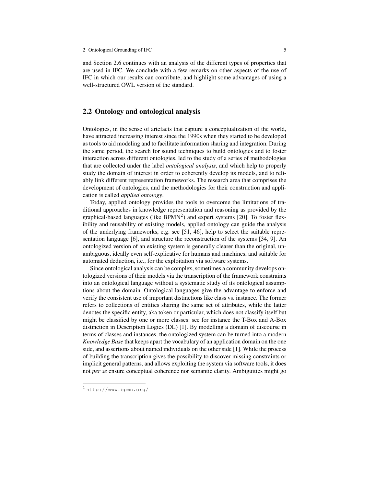and Section 2.6 continues with an analysis of the different types of properties that are used in IFC. We conclude with a few remarks on other aspects of the use of IFC in which our results can contribute, and highlight some advantages of using a well-structured OWL version of the standard.

## 2.2 Ontology and ontological analysis

Ontologies, in the sense of artefacts that capture a conceptualization of the world, have attracted increasing interest since the 1990s when they started to be developed as tools to aid modeling and to facilitate information sharing and integration. During the same period, the search for sound techniques to build ontologies and to foster interaction across different ontologies, led to the study of a series of methodologies that are collected under the label *ontological analysis*, and which help to properly study the domain of interest in order to coherently develop its models, and to reliably link different representation frameworks. The research area that comprises the development of ontologies, and the methodologies for their construction and application is called *applied ontology*.

Today, applied ontology provides the tools to overcome the limitations of traditional approaches in knowledge representation and reasoning as provided by the graphical-based languages (like  $BPMN^2$ ) and expert systems [20]. To foster flexibility and reusability of existing models, applied ontology can guide the analysis of the underlying frameworks, e.g. see [51, 46], help to select the suitable representation language [6], and structure the reconstruction of the systems [34, 9]. An ontologized version of an existing system is generally clearer than the original, unambiguous, ideally even self-explicative for humans and machines, and suitable for automated deduction, i.e., for the exploitation via software systems.

Since ontological analysis can be complex, sometimes a community develops ontologized versions of their models via the transcription of the framework constraints into an ontological language without a systematic study of its ontological assumptions about the domain. Ontological languages give the advantage to enforce and verify the consistent use of important distinctions like class vs. instance. The former refers to collections of entities sharing the same set of attributes, while the latter denotes the specific entity, aka token or particular, which does not classify itself but might be classified by one or more classes: see for instance the T-Box and A-Box distinction in Description Logics (DL) [1]. By modelling a domain of discourse in terms of classes and instances, the ontologized system can be turned into a modern *Knowledge Base* that keeps apart the vocabulary of an application domain on the one side, and assertions about named individuals on the other side [1]. While the process of building the transcription gives the possibility to discover missing constraints or implicit general patterns, and allows exploiting the system via software tools, it does not *per se* ensure conceptual coherence nor semantic clarity. Ambiguities might go

<sup>2</sup> http://www.bpmn.org/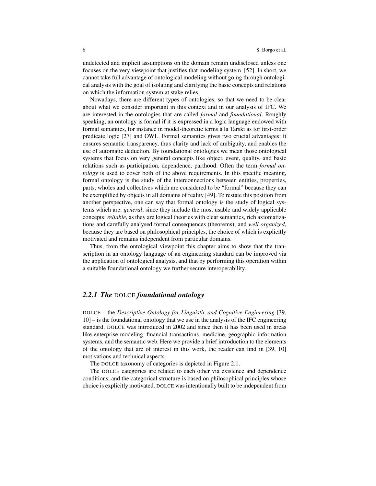undetected and implicit assumptions on the domain remain undisclosed unless one focuses on the very viewpoint that justifies that modeling system [52]. In short, we cannot take full advantage of ontological modeling without going through ontological analysis with the goal of isolating and clarifying the basic concepts and relations on which the information system at stake relies.

Nowadays, there are different types of ontologies, so that we need to be clear about what we consider important in this context and in our analysis of IFC. We are interested in the ontologies that are called *formal* and *foundational*. Roughly speaking, an ontology is formal if it is expressed in a logic language endowed with formal semantics, for instance in model-theoretic terms a la Tarski as for first-order ` predicate logic [27] and OWL. Formal semantics gives two crucial advantages: it ensures semantic transparency, thus clarity and lack of ambiguity, and enables the use of automatic deduction. By foundational ontologies we mean those ontological systems that focus on very general concepts like object, event, quality, and basic relations such as participation, dependence, parthood. Often the term *formal ontology* is used to cover both of the above requirements. In this specific meaning, formal ontology is the study of the interconnections between entities, properties, parts, wholes and collectives which are considered to be "formal" because they can be exemplified by objects in all domains of reality [49]. To restate this position from another perspective, one can say that formal ontology is the study of logical systems which are: *general*, since they include the most usable and widely applicable concepts; *reliable*, as they are logical theories with clear semantics, rich axiomatizations and carefully analysed formal consequences (theorems); and *well organized*, because they are based on philosophical principles, the choice of which is explicitly motivated and remains independent from particular domains.

Thus, from the ontological viewpoint this chapter aims to show that the transcription in an ontology language of an engineering standard can be improved via the application of ontological analysis, and that by performing this operation within a suitable foundational ontology we further secure interoperability.

### *2.2.1 The* DOLCE *foundational ontology*

DOLCE – the *Descriptive Ontology for Linguistic and Cognitive Engineering* [39, 10] – is the foundational ontology that we use in the analysis of the IFC engineering standard. DOLCE was introduced in 2002 and since then it has been used in areas like enterprise modeling, financial transactions, medicine, geographic information systems, and the semantic web. Here we provide a brief introduction to the elements of the ontology that are of interest in this work, the reader can find in [39, 10] motivations and technical aspects.

The DOLCE taxonomy of categories is depicted in Figure 2.1.

The DOLCE categories are related to each other via existence and dependence conditions, and the categorical structure is based on philosophical principles whose choice is explicitly motivated. DOLCE was intentionally built to be independent from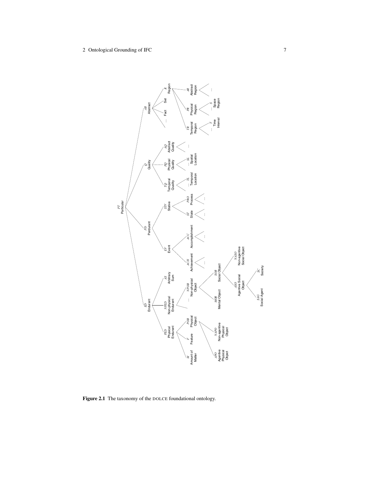

Figure 2.1 The taxonomy of the DOLCE foundational ontology.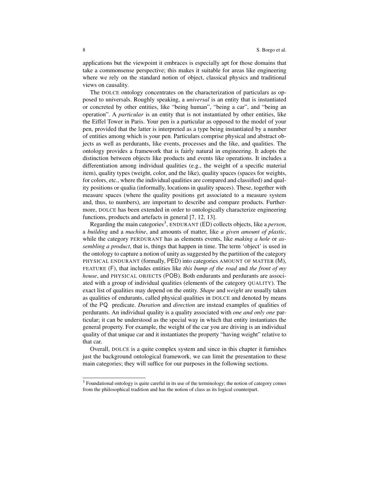applications but the viewpoint it embraces is especially apt for those domains that take a commonsense perspective; this makes it suitable for areas like engineering where we rely on the standard notion of object, classical physics and traditional views on causality.

The DOLCE ontology concentrates on the characterization of particulars as opposed to universals. Roughly speaking, a *universal* is an entity that is instantiated or concreted by other entities, like "being human", "being a car", and "being an operation". A *particular* is an entity that is not instantiated by other entities, like the Eiffel Tower in Paris. Your pen is a particular as opposed to the model of your pen, provided that the latter is interpreted as a type being instantiated by a number of entities among which is your pen. Particulars comprise physical and abstract objects as well as perdurants, like events, processes and the like, and qualities. The ontology provides a framework that is fairly natural in engineering. It adopts the distinction between objects like products and events like operations. It includes a differentiation among individual qualities (e.g., the weight of a specific material item), quality types (weight, color, and the like), quality spaces (spaces for weights, for colors, etc., where the individual qualities are compared and classified) and quality positions or qualia (informally, locations in quality spaces). These, together with measure spaces (where the quality positions get associated to a measure system and, thus, to numbers), are important to describe and compare products. Furthermore, DOLCE has been extended in order to ontologically characterize engineering functions, products and artefacts in general [7, 12, 13].

Regarding the main categories<sup>3</sup>, ENDURANT (ED) collects objects, like a *person*, a *building* and a *machine*, and amounts of matter, like *a given amount of plastic*, while the category PERDURANT has as elements events, like *making a hole* or *assembling a product*, that is, things that happen in time. The term 'object' is used in the ontology to capture a notion of unity as suggested by the partition of the category PHYSICAL ENDURANT (formally, PED) into categories AMOUNT OF MATTER (M), FEATURE (F), that includes entities like *this bump of the road* and *the front of my house*, and PHYSICAL OBJECTS (POB). Both endurants and perdurants are associated with a group of individual qualities (elements of the category QUALITY). The exact list of qualities may depend on the entity. *Shape* and *weight* are usually taken as qualities of endurants, called physical qualities in DOLCE and denoted by means of the PQ predicate. *Duration* and *direction* are instead examples of qualities of perdurants. An individual quality is a quality associated with *one and only one* particular; it can be understood as the special way in which that entity instantiates the general property. For example, the weight of the car you are driving is an individual quality of that unique car and it instantiates the property "having weight" relative to that car.

Overall, DOLCE is a quite complex system and since in this chapter it furnishes just the background ontological framework, we can limit the presentation to these main categories; they will suffice for our purposes in the following sections.

 $3$  Foundational ontology is quite careful in its use of the terminology; the notion of category comes from the philosophical tradition and has the notion of class as its logical counterpart.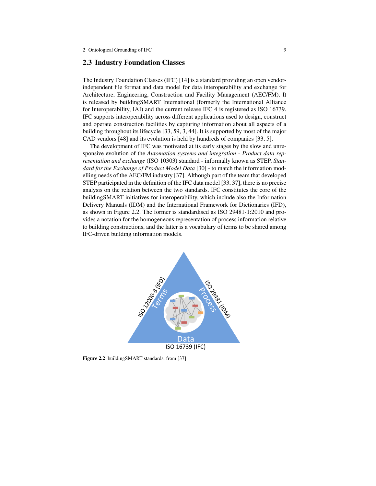### 2.3 Industry Foundation Classes

The Industry Foundation Classes (IFC) [14] is a standard providing an open vendorindependent file format and data model for data interoperability and exchange for Architecture, Engineering, Construction and Facility Management (AEC/FM). It is released by buildingSMART International (formerly the International Alliance for Interoperability, IAI) and the current release IFC 4 is registered as ISO 16739. IFC supports interoperability across different applications used to design, construct and operate construction facilities by capturing information about all aspects of a building throughout its lifecycle [33, 59, 3, 44]. It is supported by most of the major CAD vendors [48] and its evolution is held by hundreds of companies [33, 5].

The development of IFC was motivated at its early stages by the slow and unresponsive evolution of the *Automation systems and integration - Product data representation and exchange* (ISO 10303) standard - informally known as STEP, *Standard for the Exchange of Product Model Data* [30] - to match the information modelling needs of the AEC/FM industry [37]. Although part of the team that developed STEP participated in the definition of the IFC data model [33, 37], there is no precise analysis on the relation between the two standards. IFC constitutes the core of the buildingSMART initiatives for interoperability, which include also the Information Delivery Manuals (IDM) and the International Framework for Dictionaries (IFD), as shown in Figure 2.2. The former is standardised as ISO 29481-1:2010 and provides a notation for the homogeneous representation of process information relative to building constructions, and the latter is a vocabulary of terms to be shared among IFC-driven building information models.

![](_page_6_Figure_4.jpeg)

Figure 2.2 buildingSMART standards, from [37]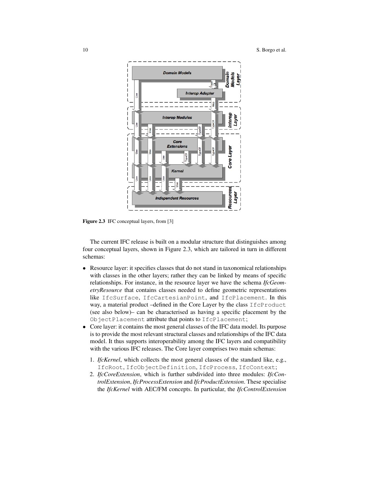![](_page_7_Figure_1.jpeg)

Figure 2.3 IFC conceptual layers, from [3]

The current IFC release is built on a modular structure that distinguishes among four conceptual layers, shown in Figure 2.3, which are tailored in turn in different schemas:

- Resource layer: it specifies classes that do not stand in taxonomical relationships with classes in the other layers; rather they can be linked by means of specific relationships. For instance, in the resource layer we have the schema *IfcGeometryResource* that contains classes needed to define geometric representations like IfcSurface, IfcCartesianPoint, and IfcPlacement. In this way, a material product -defined in the Core Layer by the class IfcProduct (see also below)– can be characterised as having a specific placement by the ObjectPlacement attribute that points to IfcPlacement;
- Core layer: it contains the most general classes of the IFC data model. Its purpose is to provide the most relevant structural classes and relationships of the IFC data model. It thus supports interoperability among the IFC layers and compatibility with the various IFC releases. The Core layer comprises two main schemas:
	- 1. *IfcKernel*, which collects the most general classes of the standard like, e.g., IfcRoot, IfcObjectDefinition, IfcProcess, IfcContext;
	- 2. *IfcCoreExtension*, which is further subdivided into three modules: *IfcControlExtension*, *IfcProcessExtension* and *IfcProductExtension*. These specialise the *IfcKernel* with AEC/FM concepts. In particular, the *IfcControlExtension*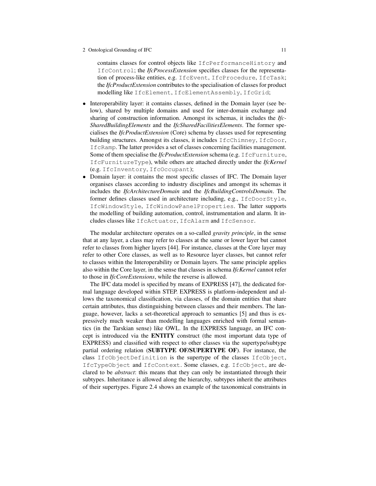contains classes for control objects like IfcPerformanceHistory and IfcControl; the *IfcProcessExtension* specifies classes for the representation of process-like entities, e.g. IfcEvent, IfcProcedure, IfcTask; the *IfcProductExtension* contributes to the specialisation of classes for product modelling like IfcElement, IfcElementAssembly, IfcGrid;

- Interoperability layer: it contains classes, defined in the Domain layer (see below), shared by multiple domains and used for inter-domain exchange and sharing of construction information. Amongst its schemas, it includes the *Ifc-SharedBuildingElements* and the *IfcSharedFacilitiesElements*. The former specialises the *IfcProductExtension* (Core) schema by classes used for representing building structures. Amongst its classes, it includes IfcChimney, IfcDoor, IfcRamp. The latter provides a set of classes concerning facilities management. Some of them specialise the *IfcProductExtension* schema (e.g. IfcFurniture, IfcFurnitureType), while others are attached directly under the *IfcKernel* (e.g. IfcInventory, IfcOccupant);
- Domain layer: it contains the most specific classes of IFC. The Domain layer organises classes according to industry disciplines and amongst its schemas it includes the *IfcArchitectureDomain* and the *IfcBuildingControlsDomain*. The former defines classes used in architecture including, e.g., IfcDoorStyle, IfcWindowStyle, IfcWindowPanelProperties. The latter supports the modelling of building automation, control, instrumentation and alarm. It includes classes like IfcActuator, IfcAlarm and IfcSensor.

The modular architecture operates on a so-called *gravity principle*, in the sense that at any layer, a class may refer to classes at the same or lower layer but cannot refer to classes from higher layers [44]. For instance, classes at the Core layer may refer to other Core classes, as well as to Resource layer classes, but cannot refer to classes within the Interoperability or Domain layers. The same principle applies also within the Core layer, in the sense that classes in schema *IfcKernel* cannot refer to those in *IfcCoreExtensions*, while the reverse is allowed.

The IFC data model is specified by means of EXPRESS [47], the dedicated formal language developed within STEP. EXPRESS is platform-independent and allows the taxonomical classification, via classes, of the domain entities that share certain attributes, thus distinguishing between classes and their members. The language, however, lacks a set-theoretical approach to semantics [5] and thus is expressively much weaker than modelling languages enriched with formal semantics (in the Tarskian sense) like OWL. In the EXPRESS language, an IFC concept is introduced via the ENTITY construct (the most important data type of EXPRESS) and classified with respect to other classes via the supertype/subtype partial ordering relation (SUBTYPE OF/SUPERTYPE OF). For instance, the class IfcObjectDefinition is the supertype of the classes IfcObject, IfcTypeObject and IfcContext. Some classes, e.g. IfcObject, are declared to be *abstract*: this means that they can only be instantiated through their subtypes. Inheritance is allowed along the hierarchy, subtypes inherit the attributes of their supertypes. Figure 2.4 shows an example of the taxonomical constraints in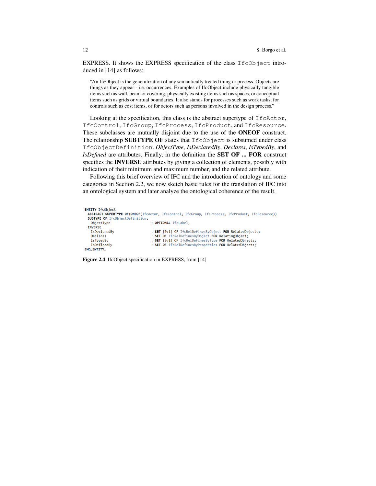EXPRESS. It shows the EXPRESS specification of the class IfcObject introduced in [14] as follows:

"An IfcObject is the generalization of any semantically treated thing or process. Objects are things as they appear - i.e. occurrences. Examples of IfcObject include physically tangible items such as wall, beam or covering, physically existing items such as spaces, or conceptual items such as grids or virtual boundaries. It also stands for processes such as work tasks, for controls such as cost items, or for actors such as persons involved in the design process."

Looking at the specification, this class is the abstract supertype of IfcActor, IfcControl, IfcGroup, IfcProcess, IfcProduct, and IfcResource. These subclasses are mutually disjoint due to the use of the ONEOF construct. The relationship SUBTYPE OF states that  $If \circ \circ f$  is subsumed under class IfcObjectDefinition. *ObjectType*, *IsDeclaredBy*, *Declares*, *IsTypedBy*, and *IsDefined* are attributes. Finally, in the definition the SET OF ... FOR construct specifies the INVERSE attributes by giving a collection of elements, possibly with indication of their minimum and maximum number, and the related attribute.

Following this brief overview of IFC and the introduction of ontology and some categories in Section 2.2, we now sketch basic rules for the translation of IFC into an ontological system and later analyze the ontological coherence of the result.

```
ENTITY IfcObject
 SUBTYPE OF IfcObjectDefinition;
                           : OPTIONAL TfcLabel:
  ObjectType
 INVERSE
  IsDeclaredBy
                           : SET [0:1] OF IfcRelDefinesByObject FOR RelatedObjects;
  Declares
                           : SET OF IfcRelDefinesByObject FOR RelatingObject;
  IsTypedBy
                           : SET [0:1] OF IfcRelDefinesByType FOR RelatedObjects;
  IsDefinedBy
                           : SET OF IfcRelDefinesByProperties FOR RelatedObjects;
END_ENTITY;
```
Figure 2.4 IfcObject specification in EXPRESS, from [14]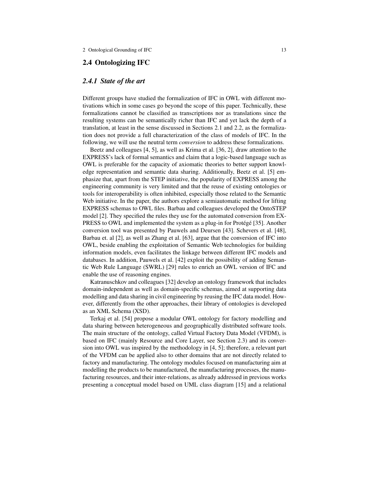## 2.4 Ontologizing IFC

# *2.4.1 State of the art*

Different groups have studied the formalization of IFC in OWL with different motivations which in some cases go beyond the scope of this paper. Technically, these formalizations cannot be classified as transcriptions nor as translations since the resulting systems can be semantically richer than IFC and yet lack the depth of a translation, at least in the sense discussed in Sections 2.1 and 2.2, as the formalization does not provide a full characterization of the class of models of IFC. In the following, we will use the neutral term *conversion* to address these formalizations.

Beetz and colleagues [4, 5], as well as Krima et al. [36, 2], draw attention to the EXPRESS's lack of formal semantics and claim that a logic-based language such as OWL is preferable for the capacity of axiomatic theories to better support knowledge representation and semantic data sharing. Additionally, Beetz et al. [5] emphasize that, apart from the STEP initiative, the popularity of EXPRESS among the engineering community is very limited and that the reuse of existing ontologies or tools for interoperability is often inhibited, especially those related to the Semantic Web initiative. In the paper, the authors explore a semiautomatic method for lifting EXPRESS schemas to OWL files. Barbau and colleagues developed the OntoSTEP model [2]. They specified the rules they use for the automated conversion from EX-PRESS to OWL and implemented the system as a plug-in for Protégé [35]. Another conversion tool was presented by Pauwels and Deursen [43]. Schevers et al. [48], Barbau et. al [2], as well as Zhang et al. [63], argue that the conversion of IFC into OWL, beside enabling the exploitation of Semantic Web technologies for building information models, even facilitates the linkage between different IFC models and databases. In addition, Pauwels et al. [42] exploit the possibility of adding Semantic Web Rule Language (SWRL) [29] rules to enrich an OWL version of IFC and enable the use of reasoning engines.

Katranuschkov and colleagues [32] develop an ontology framework that includes domain-independent as well as domain-specific schemas, aimed at supporting data modelling and data sharing in civil engineering by reusing the IFC data model. However, differently from the other approaches, their library of ontologies is developed as an XML Schema (XSD).

Terkaj et al. [54] propose a modular OWL ontology for factory modelling and data sharing between heterogeneous and geographically distributed software tools. The main structure of the ontology, called Virtual Factory Data Model (VFDM), is based on IFC (mainly Resource and Core Layer, see Section 2.3) and its conversion into OWL was inspired by the methodology in [4, 5]; therefore, a relevant part of the VFDM can be applied also to other domains that are not directly related to factory and manufacturing. The ontology modules focused on manufacturing aim at modelling the products to be manufactured, the manufacturing processes, the manufacturing resources, and their inter-relations, as already addressed in previous works presenting a conceptual model based on UML class diagram [15] and a relational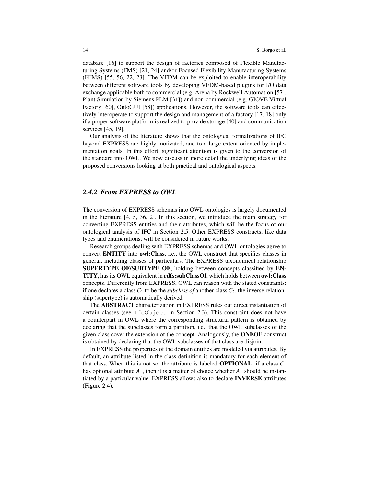database [16] to support the design of factories composed of Flexible Manufacturing Systems (FMS) [21, 24] and/or Focused Flexibility Manufacturing Systems (FFMS) [55, 56, 22, 23]. The VFDM can be exploited to enable interoperability between different software tools by developing VFDM-based plugins for I/O data exchange applicable both to commercial (e.g. Arena by Rockwell Automation [57], Plant Simulation by Siemens PLM [31]) and non-commercial (e.g. GIOVE Virtual Factory [60], OntoGUI [58]) applications. However, the software tools can effectively interoperate to support the design and management of a factory [17, 18] only if a proper software platform is realized to provide storage [40] and communication services [45, 19].

Our analysis of the literature shows that the ontological formalizations of IFC beyond EXPRESS are highly motivated, and to a large extent oriented by implementation goals. In this effort, significant attention is given to the conversion of the standard into OWL. We now discuss in more detail the underlying ideas of the proposed conversions looking at both practical and ontological aspects.

### *2.4.2 From EXPRESS to OWL*

The conversion of EXPRESS schemas into OWL ontologies is largely documented in the literature [4, 5, 36, 2]. In this section, we introduce the main strategy for converting EXPRESS entities and their attributes, which will be the focus of our ontological analysis of IFC in Section 2.5. Other EXPRESS constructs, like data types and enumerations, will be considered in future works.

Research groups dealing with EXPRESS schemas and OWL ontologies agree to convert ENTITY into owl:Class, i.e., the OWL construct that specifies classes in general, including classes of particulars. The EXPRESS taxonomical relationship SUPERTYPE OF/SUBTYPE OF, holding between concepts classified by EN-TITY, has its OWL equivalent in rdfs:subClassOf, which holds between owl:Class concepts. Differently from EXPRESS, OWL can reason with the stated constraints: if one declares a class  $C_1$  to be the *subclass of* another class  $C_2$ , the inverse relationship (supertype) is automatically derived.

The ABSTRACT characterization in EXPRESS rules out direct instantiation of certain classes (see  $If \subset Ob \text{ject}$  in Section 2.3). This constraint does not have a counterpart in OWL where the corresponding structural pattern is obtained by declaring that the subclasses form a partition, i.e., that the OWL subclasses of the given class cover the extension of the concept. Analogously, the ONEOF construct is obtained by declaring that the OWL subclasses of that class are disjoint.

In EXPRESS the properties of the domain entities are modeled via attributes. By default, an attribute listed in the class definition is mandatory for each element of that class. When this is not so, the attribute is labeled OPTIONAL: if a class *C*<sup>1</sup> has optional attribute  $A_1$ , then it is a matter of choice whether  $A_1$  should be instantiated by a particular value. EXPRESS allows also to declare INVERSE attributes (Figure 2.4).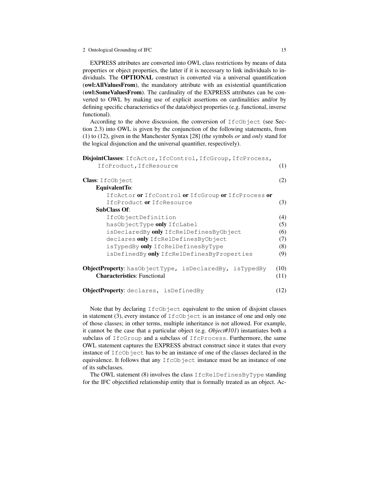EXPRESS attributes are converted into OWL class restrictions by means of data properties or object properties, the latter if it is necessary to link individuals to individuals. The OPTIONAL construct is converted via a universal quantification (owl:AllValuesFrom), the mandatory attribute with an existential quantification (owl:SomeValuesFrom). The cardinality of the EXPRESS attributes can be converted to OWL by making use of explicit assertions on cardinalities and/or by defining specific characteristics of the data/object properties (e.g. functional, inverse functional).

According to the above discussion, the conversion of IfcObject (see Section 2.3) into OWL is given by the conjunction of the following statements, from (1) to (12), given in the Manchester Syntax [28] (the symbols *or* and *only* stand for the logical disjunction and the universal quantifier, respectively).

| DisjointClasses: IfcActor, IfcControl, IfcGroup, IfcProcess, |      |
|--------------------------------------------------------------|------|
| IfcProduct, IfcResource                                      | (1)  |
| <b>Class:</b> If cobject                                     | (2)  |
| <b>EquivalentTo:</b>                                         |      |
| IfcActor or IfcControl or IfcGroup or IfcProcess or          |      |
| IfcProduct or IfcResource                                    | (3)  |
| <b>SubClass Of:</b>                                          |      |
| IfcObjectDefinition                                          | (4)  |
| hasObjectType only IfcLabel                                  | (5)  |
| isDeclaredBy only IfcRelDefinesByObject                      | (6)  |
| declares only IfcRelDefinesByObject                          | (7)  |
| isTypedBy only IfcRelDefinesByType                           | (8)  |
| isDefinedBy only IfcRelDefinesByProperties                   | (9)  |
| ObjectProperty: hasObjectType, isDeclaredBy, isTypedBy       | (10) |
| <b>Characteristics:</b> Functional                           | (11) |
| <b>ObjectProperty:</b> declares, isDefinedBy                 | (12) |

Note that by declaring IfcObject equivalent to the union of disjoint classes in statement (3), every instance of  $If \circ Ob \, \text{ject}$  is an instance of one and only one of those classes; in other terms, multiple inheritance is not allowed. For example, it cannot be the case that a particular object (e.g. *Object#101*) instantiates both a subclass of IfcGroup and a subclass of IfcProcess. Furthermore, the same OWL statement captures the EXPRESS abstract construct since it states that every instance of IfcObject has to be an instance of one of the classes declared in the equivalence. It follows that any IfcObject instance must be an instance of one of its subclasses.

The OWL statement (8) involves the class IfcRelDefinesByType standing for the IFC objectified relationship entity that is formally treated as an object. Ac-

<sup>2</sup> Ontological Grounding of IFC 15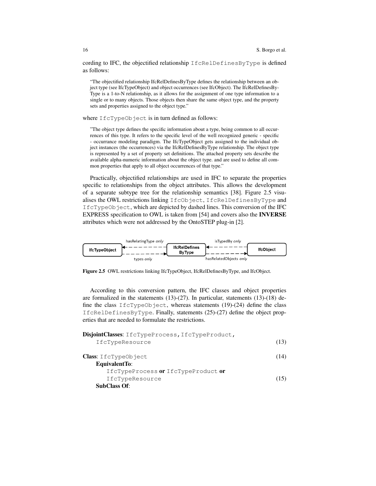cording to IFC, the objectified relationship IfcRelDefinesByType is defined as follows:

"The objectified relationship IfcRelDefinesByType defines the relationship between an object type (see IfcTypeObject) and object occurrences (see IfcObject). The IfcRelDefinesBy-Type is a 1-to-N relationship, as it allows for the assignment of one type information to a single or to many objects. Those objects then share the same object type, and the property sets and properties assigned to the object type."

where IfcTypeObject is in turn defined as follows:

"The object type defines the specific information about a type, being common to all occurrences of this type. It refers to the specific level of the well recognized generic - specific - occurrance modeling paradigm. The IfcTypeObject gets assigned to the individual object instances (the occurrences) via the IfcRelDefinesByType relationship. The object type is represented by a set of property set definitions. The attached property sets describe the available alpha-numeric information about the object type. and are used to define all common properties that apply to all object occurrences of that type."

Practically, objectified relationships are used in IFC to separate the properties specific to relationships from the object attributes. This allows the development of a separate subtype tree for the relationship semantics [38]. Figure 2.5 visualises the OWL restrictions linking IfcObject, IfcRelDefinesByType and IfcTypeObject, which are depicted by dashed lines. This conversion of the IFC EXPRESS specification to OWL is taken from [54] and covers also the INVERSE attributes which were not addressed by the OntoSTEP plug-in [2].

![](_page_13_Figure_6.jpeg)

Figure 2.5 OWL restrictions linking IfcTypeObject, IfcRelDefinesByType, and IfcObject.

According to this conversion pattern, the IFC classes and object properties are formalized in the statements (13)-(27). In particular, statements (13)-(18) define the class IfcTypeObject, whereas statements (19)-(24) define the class IfcRelDefinesByType. Finally, statements (25)-(27) define the object properties that are needed to formulate the restrictions.

```
DisjointClasses: IfcTypeProcess, IfcTypeProduct,
  IfcTypeResource (13)
Class: IfcTypeObject (14)
  EquivalentTo:
    IfcTypeProcess or IfcTypeProduct or
    IfcTypeResource (15)
  SubClass Of:
```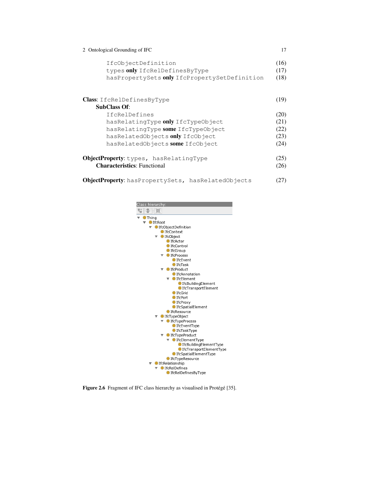| 2 Ontological Grounding of IFC                 | 17   |
|------------------------------------------------|------|
| IfcObjectDefinition                            | (16) |
| types only IfcRelDefinesByType                 | (17) |
| hasPropertySets only IfcPropertySetDefinition  | (18) |
| <b>Class:</b> If cRelDefines By Type           | (19) |
| <b>SubClass Of:</b>                            |      |
| IfcRelDefines                                  | (20) |
| hasRelatingType only IfcTypeObject             | (21) |
| hasRelatingType some IfcTypeObject             | (22) |
| hasRelatedObjects only IfcObject               | (23) |
| hasRelatedObjects some IfcObject               | (24) |
| <b>ObjectProperty</b> : types, hasRelatingType | (25) |
| <b>Characteristics:</b> Functional             | 26)  |
|                                                |      |

ObjectProperty: hasPropertySets, hasRelatedObjects (27)

![](_page_14_Figure_1.jpeg)

Figure 2.6 Fragment of IFC class hierarchy as visualised in Protégé [35].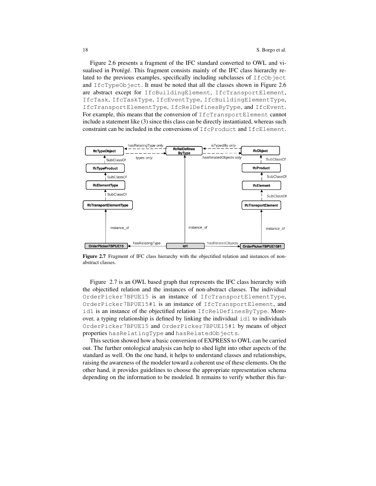Figure 2.6 presents a fragment of the IFC standard converted to OWL and visualised in Protégé. This fragment consists mainly of the IFC class hierarchy related to the previous examples, specifically including subclasses of IfcObject and IfcTypeObject. It must be noted that all the classes shown in Figure 2.6 are abstract except for IfcBuildingElement, IfcTransportElement, IfcTask, IfcTaskType, IfcEventType, IfcBuildingElementType, IfcTransportElementType, IfcRelDefinesByType, and IfcEvent. For example, this means that the conversion of IfcTransportElement cannot include a statement like (3) since this class can be directly instantiated, whereas such constraint can be included in the conversions of IfcProduct and IfcElement.

![](_page_15_Figure_2.jpeg)

Figure 2.7 Fragment of IFC class hierarchy with the objectified relation and instances of nonabstract classes.

Figure 2.7 is an OWL based graph that represents the IFC class hierarchy with the objectified relation and the instances of non-abstract classes. The individual OrderPicker7BPUE15 is an instance of IfcTransportElementType, OrderPicker7BPUE15#1 is an instance of IfcTransportElement, and id1 is an instance of the objectified relation IfcRelDefinesByType. Moreover, a typing relationship is defined by linking the individual  $id1$  to individuals OrderPicker7BPUE15 and OrderPicker7BPUE15#1 by means of object properties hasRelatingType and hasRelatedObjects.

This section showed how a basic conversion of EXPRESS to OWL can be carried out. The further ontological analysis can help to shed light into other aspects of the standard as well. On the one hand, it helps to understand classes and relationships, raising the awareness of the modeler toward a coherent use of these elements. On the other hand, it provides guidelines to choose the appropriate representation schema depending on the information to be modeled. It remains to verify whether this fur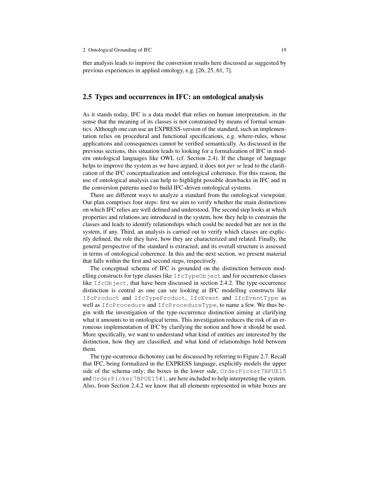ther analysis leads to improve the conversion results here discussed as suggested by previous experiences in applied ontology, e.g. [26, 25, 61, 7].

### 2.5 Types and occurrences in IFC: an ontological analysis

As it stands today, IFC is a data model that relies on human interpretation, in the sense that the meaning of its classes is not constrained by means of formal semantics. Although one can use an EXPRESS-version of the standard, such an implementation relies on procedural and functional specifications, e.g. where-rules, whose applications and consequences cannot be verified semantically. As discussed in the previous sections, this situation leads to looking for a formalization of IFC in modern ontological languages like OWL (cf. Section 2.4). If the change of language helps to improve the system as we have argued, it does not *per se* lead to the clarification of the IFC conceptualization and ontological coherence. For this reason, the use of ontological analysis can help to highlight possible drawbacks in IFC and in the conversion patterns used to build IFC-driven ontological systems.

There are different ways to analyze a standard from the ontological viewpoint. Our plan comprises four steps: first we aim to verify whether the main distinctions on which IFC relies are well defined and understood. The second step looks at which properties and relations are introduced in the system, how they help to constrain the classes and leads to identify relationships which could be needed but are not in the system, if any. Third, an analysis is carried out to verify which classes are explicitly defined, the role they have, how they are characterized and related. Finally, the general perspective of the standard is extracted, and its overall structure is assessed in terms of ontological coherence. In this and the next section, we present material that falls within the first and second steps, respectively.

The conceptual schema of IFC is grounded on the distinction between modelling constructs for type classes like IfcTypeObject and for occurrence classes like IfcObject, that have been discussed in section 2.4.2. The type-occurrence distinction is central as one can see looking at IFC modelling constructs like IfcProduct and IfcTypeProduct, IfcEvent and IfcEventType as well as IfcProcedure and IfcProcedureType, to name a few. We thus begin with the investigation of the type-occurrence distinction aiming at clarifying what it amounts to in ontological terms. This investigation reduces the risk of an erroneous implementation of IFC by clarifying the notion and how it should be used. More specifically, we want to understand what kind of entities are interested by the distinction, how they are classified, and what kind of relationships hold between them.

The type-ocurrence dichotomy can be discussed by referring to Figure 2.7. Recall that IFC, being formalized in the EXPRESS language, explicitly models the upper side of the schema only; the boxes in the lower side, OrderPicker7BPUE15 and OrderPicker7BPUE15#1, are here included to help interpreting the system. Also, from Section 2.4.2 we know that all elements represented in white boxes are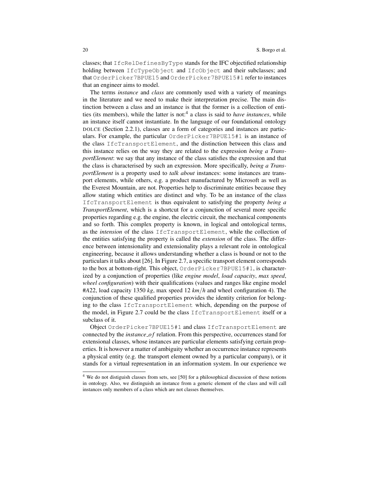classes; that IfcRelDefinesByType stands for the IFC objectified relationship holding between IfcTypeObject and IfcObject and their subclasses; and that OrderPicker7BPUE15 and OrderPicker7BPUE15#1 refer to instances that an engineer aims to model.

The terms *instance* and *class* are commonly used with a variety of meanings in the literature and we need to make their interpretation precise. The main distinction between a class and an instance is that the former is a collection of entities (its members), while the latter is not:4 a class is said to *have instances*, while an instance itself cannot instantiate. In the language of our foundational ontology DOLCE (Section 2.2.1), classes are a form of categories and instances are particulars. For example, the particular OrderPicker7BPUE15#1 is an instance of the class IfcTransportElement, and the distinction between this class and this instance relies on the way they are related to the expression *being a TransportElement*: we say that any instance of the class satisfies the expression and that the class is characterised by such an expression. More specifically, *being a TransportElement* is a property used to *talk about* instances: some instances are transport elements, while others, e.g. a product manufactured by Microsoft as well as the Everest Mountain, are not. Properties help to discriminate entities because they allow stating which entities are distinct and why. To be an instance of the class IfcTransportElement is thus equivalent to satisfying the property *being a TransportElement*, which is a shortcut for a conjunction of several more specific properties regarding e.g. the engine, the electric circuit, the mechanical components and so forth. This complex property is known, in logical and ontological terms, as the *intension* of the class IfcTransportElement, while the collection of the entities satisfying the property is called the *extension* of the class. The difference between intensionality and extensionality plays a relevant role in ontological engineering, because it allows understanding whether a class is bound or not to the particulars it talks about [26]. In Figure 2.7, a specific transport element corresponds to the box at bottom-right. This object, OrderPicker7BPUE15#1, is characterized by a conjunction of properties (like *engine model*, *load capacity*, *max speed*, *wheel configuration*) with their qualifications (values and ranges like engine model #*A*22, load capacity 1350 *kg*, max speed 12 *km/h* and wheel configuration 4). The conjunction of these qualified properties provides the identity criterion for belonging to the class IfcTransportElement which, depending on the purpose of the model, in Figure 2.7 could be the class IfcTransportElement itself or a subclass of it.

Object OrderPicker7BPUE15#1 and class IfcTransportElement are connected by the *instance of* relation. From this perspective, occurrences stand for extensional classes, whose instances are particular elements satisfying certain properties. It is however a matter of ambiguity whether an occurrence instance represents a physical entity (e.g. the transport element owned by a particular company), or it stands for a virtual representation in an information system. In our experience we

<sup>4</sup> We do not distiguish classes from sets, see [50] for a philosophical discussion of these notions in ontology. Also, we distinguish an instance from a generic element of the class and will call instances only members of a class which are not classes themselves.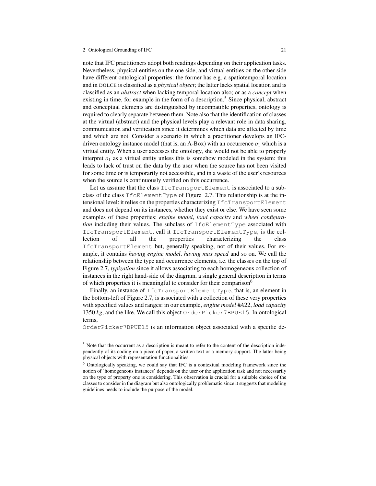note that IFC practitioners adopt both readings depending on their application tasks. Nevertheless, physical entities on the one side, and virtual entities on the other side have different ontological properties: the former has e.g. a spatiotemporal location and in DOLCE is classified as a *physical object*; the latter lacks spatial location and is classified as an *abstract* when lacking temporal location also; or as a *concept* when existing in time, for example in the form of a description.<sup>5</sup> Since physical, abstract and conceptual elements are distinguished by incompatible properties, ontology is required to clearly separate between them. Note also that the identification of classes at the virtual (abstract) and the physical levels play a relevant role in data sharing, communication and verification since it determines which data are affected by time and which are not. Consider a scenario in which a practitioner develops an IFCdriven ontology instance model (that is, an A-Box) with an occurrence  $o_1$  which is a virtual entity. When a user accesses the ontology, she would not be able to properly interpret  $o_1$  as a virtual entity unless this is somehow modeled in the system: this leads to lack of trust on the data by the user when the source has not been visited for some time or is temporarily not accessible, and in a waste of the user's resources when the source is continuously verified on this occurrence.

Let us assume that the class If cTransportElement is associated to a subclass of the class IfcElementType of Figure 2.7. This relationship is at the intensional level: it relies on the properties characterizing IfcTransportElement and does not depend on its instances, whether they exist or else. We have seen some examples of these properties: *engine model*, *load capacity* and *wheel configuration* including their values. The subclass of IfcElementType associated with IfcTransportElement, call it IfcTransportElementType, is the collection of all the properties characterizing the class IfcTransportElement but, generally speaking, not of their values. For example, it contains *having engine model*, *having max speed* and so on. We call the relationship between the type and occurrence elements, i.e. the classes on the top of Figure 2.7, *typization* since it allows associating to each homogeneous collection of instances in the right hand-side of the diagram, a single general description in terms of which properties it is meaningful to consider for their comparison<sup>6</sup>

Finally, an instance of IfcTransportElementType, that is, an element in the bottom-left of Figure 2.7, is associated with a collection of these very properties with specified values and ranges: in our example, *engine model* #*A*22, *load capacity* 1350 *kg*, and the like. We call this object OrderPicker7BPUE15. In ontological terms,

OrderPicker7BPUE15 is an information object associated with a specific de-

<sup>5</sup> Note that the occurrent as a description is meant to refer to the content of the description independently of its coding on a piece of paper, a written text or a memory support. The latter being physical objects with representation functionalities.

<sup>6</sup> Ontologically speaking, we could say that IFC is a contextual modeling framework since the notion of 'homogeneous instances' depends on the user or the application task and not necessarily on the type of property one is considering. This observation is crucial for a suitable choice of the classes to consider in the diagram but also ontologically problematic since it suggests that modeling guidelines needs to include the purpose of the model.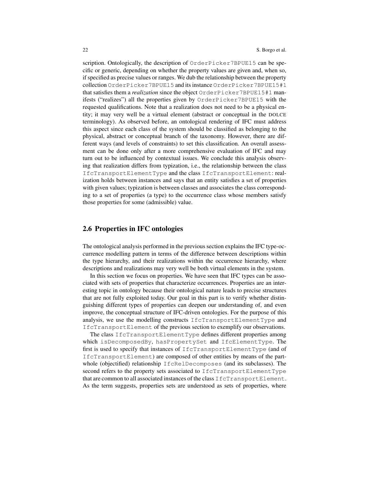scription. Ontologically, the description of  $OrderPicker7BPEUE15$  can be specific or generic, depending on whether the property values are given and, when so, if specified as precise values or ranges. We dub the relationship between the property collection OrderPicker7BPUE15 and its instance OrderPicker7BPUE15#1 that satisfies them a *realization* since the object OrderPicker7BPUE15#1 manifests ("realizes") all the properties given by OrderPicker7BPUE15 with the requested qualifications. Note that a realization does not need to be a physical entity; it may very well be a virtual element (abstract or conceptual in the DOLCE terminology). As observed before, an ontological rendering of IFC must address this aspect since each class of the system should be classified as belonging to the physical, abstract or conceptual branch of the taxonomy. However, there are different ways (and levels of constraints) to set this classification. An overall assessment can be done only after a more comprehensive evaluation of IFC and may turn out to be influenced by contextual issues. We conclude this analysis observing that realization differs from typization, i.e., the relationship between the class IfcTransportElementType and the class IfcTransportElement: realization holds between instances and says that an entity satisfies a set of properties with given values; typization is between classes and associates the class corresponding to a set of properties (a type) to the occurrence class whose members satisfy those properties for some (admissible) value.

### 2.6 Properties in IFC ontologies

The ontological analysis performed in the previous section explains the IFC type-occurrence modelling pattern in terms of the difference between descriptions within the type hierarchy, and their realizations within the occurrence hierarchy, where descriptions and realizations may very well be both virtual elements in the system.

In this section we focus on properties. We have seen that IFC types can be associated with sets of properties that characterize occurrences. Properties are an interesting topic in ontology because their ontological nature leads to precise structures that are not fully exploited today. Our goal in this part is to verify whether distinguishing different types of properties can deepen our understanding of, and even improve, the conceptual structure of IFC-driven ontologies. For the purpose of this analysis, we use the modelling constructs IfcTransportElementType and IfcTransportElement of the previous section to exemplify our observations.

The class IfcTransportElementType defines different properties among which isDecomposedBy, hasPropertySet and IfcElementType. The first is used to specify that instances of IfcTransportElementType (and of IfcTransportElement) are composed of other entities by means of the partwhole (objectified) relationship IfcRelDecomposes (and its subclasses). The second refers to the property sets associated to IfcTransportElementType that are common to all associated instances of the class IfcTransportElement. As the term suggests, properties sets are understood as sets of properties, where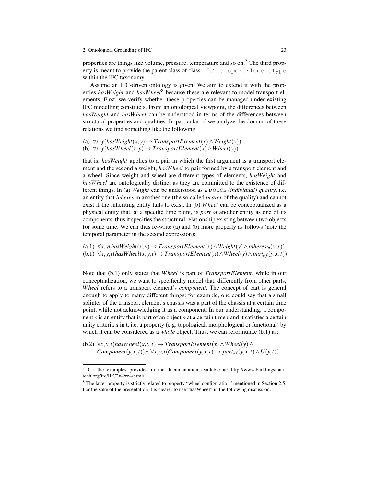properties are things like volume, pressure, temperature and so on.<sup>7</sup> The third property is meant to provide the parent class of class IfcTransportElementType within the IFC taxonomy.

Assume an IFC-driven ontology is given. We aim to extend it with the properties *hasWeight* and *hasW heel*<sup>8</sup> because these are relevant to model transport elements. First, we verify whether these properties can be managed under existing IFC modelling constructs. From an ontological viewpoint, the differences between *hasWeight* and *hasW heel* can be understood in terms of the differences between structural properties and qualities. In particular, if we analyze the domain of these relations we find something like the following:

```
(a) \forall x, y \in \mathit{hasWeight}(x, y) \rightarrow \mathit{TransportElement}(x) \land \mathit{Weight}(y)(b) \forall x, y \in \mathbb{R} RiasWheel(x, y) \rightarrow TransportElement(x) \land Wheel(y))
```
that is, *hasWeight* applies to a pair in which the first argument is a transport element and the second a weight, *hasW heel* to pair formed by a transport element and a wheel. Since weight and wheel are different types of elements, *hasWeight* and *hasW heel* are ontologically distinct as they are committed to the existence of different things. In (a) *Weight* can be understood as a DOLCE *(individual) quality*, i.e. an entity that *inheres* in another one (the so called *bearer* of the quality) and cannot exist if the inheriting entity fails to exist. In (b) *W heel* can be conceptualized as a physical entity that, at a specific time point, is *part of* another entity as one of its components, thus it specifies the structural relationship existing between two objects for some time. We can thus re-write (a) and (b) more properly as follows (note the temporal parameter in the second expression):

(a.1)  $\forall x, y(\text{hasWeight}(x, y) \rightarrow \text{TransformerElement}(x) \land \text{Weight}(y) \land \text{inheres}_{in}(y, x))$ (b.1)  $\forall x, y, t (has Wheeler, y, t) \rightarrow TransportElement(x) \land Wheeler(y) \land part_{of}(y, x, t))$ 

Note that (b.1) only states that *W heel* is part of *TransportElement*, while in our conceptualization, we want to specifically model that, differently from other parts, *W heel* refers to a transport element's *component*. The concept of part is general enough to apply to many different things: for example, one could say that a small splinter of the transport element's chassis was a part of the chassis at a certain time point, while not acknowledging it as a component. In our understanding, a component *c* is an entity that is part of an object *o* at a certain time *t* and it satisfies a certain unity criteria *u* in t, i.e. a property (e.g. topological, morphological or functional) by which it can be considered as a *whole* object. Thus, we can reformulate (b.1) as:

 $(6.2)$   $\forall x, y, t \in \mathbb{R}$  *(x,y,t)*  $\rightarrow$  *TransportElement* $(x) \land \text{W}$ *heel* $(y) \land \text{W}$  $Component(y, x, t)) \wedge \forall x, y, t (Component(y, x, t) \rightarrow part_{of}(y, x, t) \wedge U(y, t))$ 

<sup>7</sup> Cf. the examples provided in the documentation available at: http://www.buildingsmarttech.org/ifc/IFC2x4/rc4/html/.

<sup>8</sup> The latter property is strictly related to property "wheel configuration" mentioned in Section 2.5. For the sake of the presentation it is clearer to use "hasWheel" in the following discussion.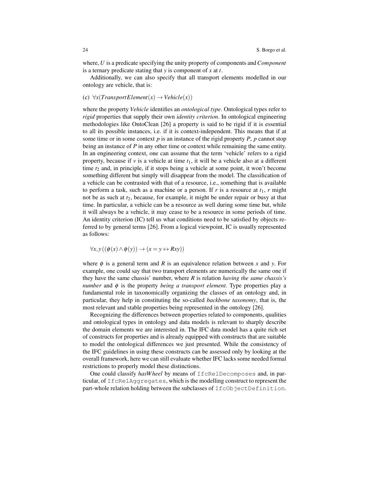where, *U* is a predicate specifying the unity property of components and*Component* is a ternary predicate stating that *y* is component of *x* at *t*.

Additionally, we can also specify that all transport elements modelled in our ontology are vehicle, that is:

(c)  $\forall x (TransportElement(x) \rightarrow Vehicle(x))$ 

where the property *Vehicle* identifies an *ontological type*. Ontological types refer to *rigid* properties that supply their own *identity criterion*. In ontological engineering methodologies like OntoClean [26] a property is said to be rigid if it is essential to all its possible instances, i.e. if it is context-independent. This means that if at some time or in some context  $p$  is an instance of the rigid property  $P$ ,  $p$  cannot stop being an instance of *P* in any other time or context while remaining the same entity. In an engineering context, one can assume that the term 'vehicle' refers to a rigid property, because if  $\nu$  is a vehicle at time  $t_1$ , it will be a vehicle also at a different time  $t_2$  and, in principle, if it stops being a vehicle at some point, it won't become something different but simply will disappear from the model. The classification of a vehicle can be contrasted with that of a resource, i.e., something that is available to perform a task, such as a machine or a person. If  $r$  is a resource at  $t_1$ ,  $r$  might not be as such at *t*2, because, for example, it might be under repair or busy at that time. In particular, a vehicle can be a resource as well during some time but, while it will always be a vehicle, it may cease to be a resource in some periods of time. An identity criterion (IC) tell us what conditions need to be satisfied by objects referred to by general terms [26]. From a logical viewpoint, IC is usually represented as follows:

 $\forall x, y ((\phi(x) \land \phi(y)) \rightarrow (x = y \leftrightarrow Rxy))$ 

where  $\phi$  is a general term and *R* is an equivalence relation between *x* and *y*. For example, one could say that two transport elements are numerically the same one if they have the same chassis' number, where *R* is relation *having the same chassis's number* and  $\phi$  is the property *being a transport element*. Type properties play a fundamental role in taxonomically organizing the classes of an ontology and, in particular, they help in constituting the so-called *backbone taxonomy*, that is, the most relevant and stable properties being represented in the ontology [26].

Recognizing the differences between properties related to components, qualities and ontological types in ontology and data models is relevant to sharply describe the domain elements we are interested in. The IFC data model has a quite rich set of constructs for properties and is already equipped with constructs that are suitable to model the ontological differences we just presented. While the consistency of the IFC guidelines in using these constructs can be assessed only by looking at the overall framework, here we can still evaluate whether IFC lacks some needed formal restrictions to properly model these distinctions.

One could classify *hasW heel* by means of IfcRelDecomposes and, in particular, of IfcRelAggregates, which is the modelling construct to represent the part-whole relation holding between the subclasses of IfcObjectDefinition.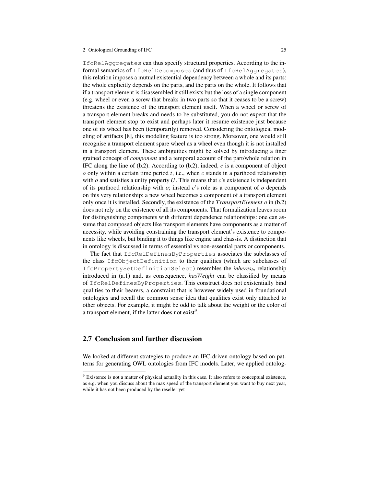IfcRelAggregates can thus specify structural properties. According to the informal semantics of IfcRelDecomposes (and thus of IfcRelAggregates), this relation imposes a mutual existential dependency between a whole and its parts: the whole explicitly depends on the parts, and the parts on the whole. It follows that if a transport element is disassembled it still exists but the loss of a single component (e.g. wheel or even a screw that breaks in two parts so that it ceases to be a screw) threatens the existence of the transport element itself. When a wheel or screw of a transport element breaks and needs to be substituted, you do not expect that the transport element stop to exist and perhaps later it resume existence just because one of its wheel has been (temporarily) removed. Considering the ontological modeling of artifacts [8], this modeling feature is too strong. Moreover, one would still recognise a transport element spare wheel as a wheel even though it is not installed in a transport element. These ambiguities might be solved by introducing a finer grained concept of *component* and a temporal account of the part/whole relation in IFC along the line of (b.2). According to (b.2), indeed, *c* is a component of object *o* only within a certain time period *t*, i.e., when *c* stands in a parthood relationship with *o* and satisfies a unity property *U*. This means that *c*'s existence is independent of its parthood relationship with  $\sigma$ ; instead  $c$ 's role as a component of  $\sigma$  depends on this very relationship: a new wheel becomes a component of a transport element only once it is installed. Secondly, the existence of the *TransportElement o* in (b.2) does not rely on the existence of all its components. That formalization leaves room for distinguishing components with different dependence relationships: one can assume that composed objects like transport elements have components as a matter of necessity, while avoiding constraining the transport element's existence to components like wheels, but binding it to things like engine and chassis. A distinction that in ontology is discussed in terms of essential vs non-essential parts or components.

The fact that IfcRelDefinesByProperties associates the subclasses of the class IfcObjectDefinition to their qualities (which are subclasses of IfcPropertySetDefinitionSelect) resembles the *inheresin* relationship introduced in (a.1) and, as consequence, *hasWeight* can be classified by means of IfcRelDefinesByProperties. This construct does not existentially bind qualities to their bearers, a constraint that is however widely used in foundational ontologies and recall the common sense idea that qualities exist only attached to other objects. For example, it might be odd to talk about the weight or the color of a transport element, if the latter does not  $exist<sup>9</sup>$ .

# 2.7 Conclusion and further discussion

We looked at different strategies to produce an IFC-driven ontology based on patterns for generating OWL ontologies from IFC models. Later, we applied ontolog-

<sup>&</sup>lt;sup>9</sup> Existence is not a matter of physical actuality in this case. It also refers to conceptual existence, as e.g. when you discuss about the max speed of the transport element you want to buy next year, while it has not been produced by the reseller yet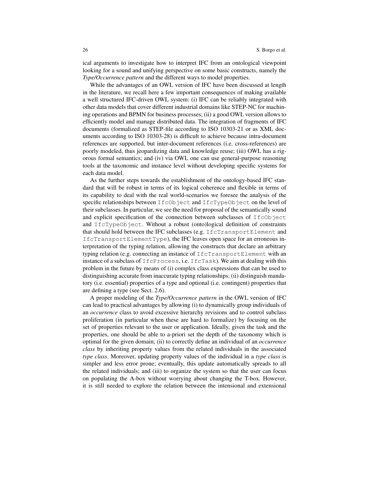ical arguments to investigate how to interpret IFC from an ontological viewpoint looking for a sound and unifying perspective on some basic constructs, namely the *Type/Occurrence pattern* and the different ways to model properties.

While the advantages of an OWL version of IFC have been discussed at length in the literature, we recall here a few important consequences of making available a well structured IFC-driven OWL system: (i) IFC can be reliably integrated with other data models that cover different industrial domains like STEP-NC for machining operations and BPMN for business processes; (ii) a good OWL version allows to efficiently model and manage distributed data. The integration of fragments of IFC documents (formalized as STEP-file according to ISO 10303-21 or as XML documents according to ISO 10303-28) is difficult to achieve because intra-document references are supported, but inter-document references (i.e. cross-references) are poorly modeled, thus jeopardizing data and knowledge reuse; (iii) OWL has a rigorous formal semantics; and (iv) via OWL one can use general-purpose reasoning tools at the taxonomic and instance level without developing specific systems for each data model.

As the further steps towards the establishment of the ontology-based IFC standard that will be robust in terms of its logical coherence and flexible in terms of its capability to deal with the real world-scenarios we foresee the analysis of the specific relationships between IfcObject and IfcTypeObject on the level of their subclasses. In particular, we see the need for proposal of the semantically sound and explicit specification of the connection between subclasses of IfcObject and IfcTypeObject. Without a robust (onto)logical definition of constraints that should hold between the IFC subclasses (e.g. IfcTransportElement and IfcTransportElementType), the IFC leaves open space for an erroneous interpretation of the typing relation, allowing the constructs that declare an arbitrary typing relation (e.g. connecting an instance of IfcTransportElement with an instance of a subclass of  $IECProcess$ , i.e.  $IEClass$ ). We aim at dealing with this problem in the future by means of (i) complex class expressions that can be used to distinguishing accurate from inaccurate typing relationships; (ii) distinguish mandatory (i.e. essential) properties of a type and optional (i.e. contingent) properties that are defining a type (see Sect. 2.6).

A proper modeling of the *Type/Occurrence pattern* in the OWL version of IFC can lead to practical advantages by allowing (i) to dynamically group individuals of an *occurrence* class to avoid excessive hierarchy revisions and to control subclass proliferation (in particular when these are hard to formalize) by focusing on the set of properties relevant to the user or application. Ideally, given the task and the properties, one should be able to a-priori set the depth of the taxonomy which is optimal for the given domain; (ii) to correctly define an individual of an *occurrence class* by inheriting property values from the related individuals in the associated *type class*. Moreover, updating property values of the individual in a *type class* is simpler and less error prone; eventually, this update automatically spreads to all the related individuals; and (iii) to organize the system so that the user can focus on populating the A-box without worrying about changing the T-box. However, it is still needed to explore the relation between the intensional and extensional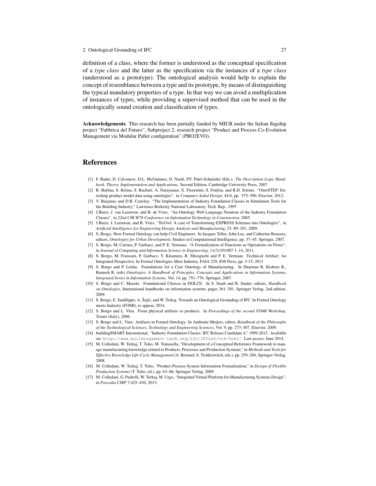definition of a class, where the former is understood as the conceptual specification of a *type class* and the latter as the specification via the instances of a *type class* (understood as a prototype). The ontological analysis would help to explain the concept of resemblance between a type and its prototype, by means of distinguishing the typical mandatory properties of a type. In that way we can avoid a multiplication of instances of types, while providing a supervised method that can be used in the ontologically sound creation and classification of types.

Acknowledgements This research has been partially funded by MIUR under the Italian flagship project "Fabbrica del Futuro", Subproject 2, research project "Product and Process Co-Evolution Management via Modular Pallet configuration" (PRO2EVO).

# References

- [1] F. Bader, D. Calvanese, D.L. McGuinnes, D. Nardi, P.F. Patel-Schneider (Eds.), *The Description Logic Handbook. Theory, Implementation and Applications*, Second Edition, Cambridge University Press, 2007
- [2] R. Barbau, S. Krima, S. Rachuri, A. Narayanan, X. Fiorentini, S. Foufou, and R.D. Sriram, "OntoSTEP: Enriching product model data using ontologies". in *Computer-Aided Design*, 44:6, pp. 575–590, Elsevier, 2012.
- [3] V. Bazjanac and D.B. Crawley, "The Implementation of Industry Foundation Classes in Simulation Tools for the Building Industry," Lawrence Berkeley National Laboratory, Tech. Rep., 1997.
- [4] J.Beetz, J. van Leeuwen, and B. de Vries, "An Ontology Web Language Notation of the Industry Foundation Classes", in *22nd CIB W78 Conference on Information Technology in Construction*, 2005.
- [5] J.Beetz, J. Leeuwen, and B. Vries, "IfcOwl: A case of Transforming EXPRESS Schemas into Ontologies", in *Artificial Intelligence for Engineering Design, Analysis and Manufacturing*, 23: 89–101, 2009.
- [6] S. Borgo, How Formal Ontology can help Civil Engineers. In Jacques Teller, John Lee, and Catherine Roussey, editors, *Ontologies for Urban Development*, Studies in Computational Intelligence, pp. 37–45. Springer, 2007.
- [7] S. Borgo, M. Carrara, P. Garbacz, and P. E. Vermaas, "A Formalization of Functions as Operations on Flows", in *Journal of Computing and Information Science in Engineering*, 11(3):031007 1–14, 2011.
- [8] S. Borgo, M. Franssen, P. Garbacz, Y. Kitamura, R. Mizoguchi and P. E. Vermaas Technical Artifact: An Integrated Perspective, In Formal Ontologies Meet Industry, FAIA 229, IOS Press, pp. 3-15, 2011
- [9] S. Borgo and P. Leitão. Foundations for a Core Ontology of Manufacturing. In Sharman R. Kishore R., Ramesh R. (eds) *Ontologies: A Handbook of Principles, Concepts and Applications in Information Systems*, *Integrated Series in Information Systems*, Vol. 14, pp. 751–776. Springer, 2007.
- [10] S. Borgo and C. Masolo. Foundational Choices in DOLCE. In S. Staab and R. Studer, editors, *Handbook on Ontologies*, International handbooks on information systems, pages 361–381. Springer Verlag, 2nd edition, 2009.
- [11] S. Borgo, E. Sanfilippo, A. Šojić, and W. Terkaj. Towards an Ontological Grounding of IFC. In Formal Ontology meets Industry (FOMI), to appear, 2014.
- [12] S. Borgo and L. Vieu. From physical artifacts to products. In *Proceedings of the second FOMI Workshop*, Trento (Italy), 2006.
- [13] S. Borgo and L. Vieu. Artifacts in Formal Ontology. In Anthonie Meijers, editor, *Handbook of the Philosophy of the Technological Sciences, Technology and Engineering Sciences*, Vol. 9, pp. 273–307. Elsevier, 2009.
- [14] buildingSMART International, "Industry Foundation Classes. IFC Release Candidate 4," 1999-2012. Available on: http://www.buildingsmart-tech.org/ifc/IFC2x4/rc4/html/. Last access: June 2014.
- [15] M. Colledani, W. Terkaj, T. Tolio, M. Tomasella, "Development of a Conceptual Reference Framework to manage manufacturing knowledge related to Products, Processes and Production Systems," in *Methods and Tools for Effective Knowledge Life-Cycle-Management* (A. Bernard, S. Tichkiewitch, eds.), pp. 259–284, Springer-Verlag, 2008.
- [16] M. Colledani, W. Terkaj, T. Tolio, "Product-Process-System Information Formalization," in *Design of Flexible Production Systems* (T. Tolio, ed.), pp. 63–86, Springer-Verlag, 2009.
- [17] M. Colledani, G. Pedrelli, W. Terkaj, M. Urgo, "Integrated Virtual Platform for Manufacturing Systems Design", in *Procedia CIRP* 7:425–430, 2013.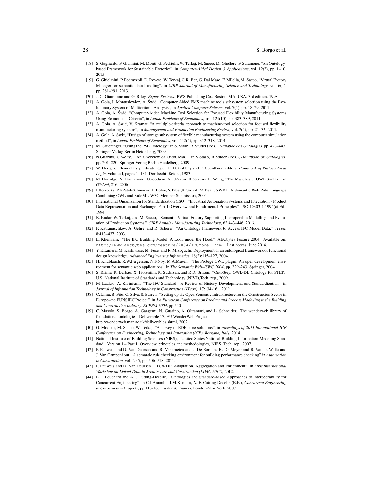- [18] S. Gagliardo, F. Giannini, M. Monti, G. Pedrielli, W. Terkaj, M. Sacco, M. Ghellere, F. Salamone, "An Ontologybased Framework for Sustainable Factories", in *Computer-Aided Design & Applications*, vol. 12(2), pp. 1–10, 2015.
- [19] G. Ghielmini, P. Pedrazzoli, D. Rovere, W. Terkaj, C.R. Bor, G. Dal Maso, F. Milella, M. Sacco, "Virtual Factory Manager for semantic data handling", in *CIRP Journal of Manufacturing Science and Technology*, vol. 6(4), pp. 281–291, 2013.
- [20] J. C. Giarratano and G. Riley. *Expert Systems*. PWS Publishing Co., Boston, MA, USA, 3rd edition, 1998.
- [21] A. Gola, J. Montusiewicz, A. Świć, "Computer Aided FMS machine tools subsystem selection using the Evolutionary System of Multicriteria Analysis", in *Applied Computer Science*, vol. 7(1), pp. 18–29, 2011.
- A. Gola, A. Świć, "Computer-Aided Machine Tool Selection for Focused Flexibility Manufacturing Systems Using Economical Criteria", in *Actual Problems of Economics*, vol. 124(10), pp. 383–389, 2011.
- [23] A. Gola, A. Świć, V. Kramar, "A multiple-criteria approach to machine-tool selection for focused flexibility manufacturing systems", in *Management and Production Engineering Review*, vol. 2(4), pp. 21–32, 2011.
- [24] A. Gola, A. Świć, "Design of storage subsystem of flexible manufacturing system using the computer simulation method", in *Actual Problems of Economics*, vol. 142(4), pp. 312–318, 2014.
- [25] M. Grueninger, "Using the PSL Ontology," in S. Staab, R. Studer (Eds.), *Handbook on Ontologies*, pp. 423–443, Springer-Verlag Berlin Heidelberg, 2009
- [26] N.Guarino, C.Welty, "An Overview of OntoClean," in S.Staab, R.Studer (Eds.), *Handbook on Ontologies*, pp. 201–220, Springer-Verlag Berlin Heidelberg, 2009
- [27] W. Hodges. Elementary predicate logic. In D. Gabbay and F. Guenthner, editors, *Handbook of Philosophical Logic*, volume I, pages 1–131. Dordrecht: Reidel, 1983.
- [28] M. Horridge, N. Drummond, J.Goodwin, A.L.Rector, R.Stevens, H. Wang, "The Manchester OWL Syntax", in *OWLed*, 216, 2006
- [29] I.Horrocks, P.F.Patel-Schneider, H.Boley, S.Tabet,B.Grosof, M.Dean, SWRL: A Semantic Web Rule Language Combining OWL and RuleML W3C Member Submission, 2004
- [30] International Organization for Standardization (ISO), "Industrial Automation Systems and Integration Product Data Representation and Exchange. Part 1: Overview and Fundamental Principles", ISO 10303-1:1994(e) Ed., 1994.
- [31] B. Kadar, W. Terkaj, and M. Sacco, "Semantic Virtual Factory Supporting Interoperable Modelling and Evaluation of Production Systems," *CIRP Annals - Manufacturing Technology*, 62:443–446, 2013.
- [32] P. Katranuschkov, A. Gehre, and R. Scherer, "An Ontology Framework to Access IFC Model Data," *ITcon*, 8:413–437, 2003.
- [33] L. Khemlani, "The IFC Building Model: A Look under the Hood," AECbytes Feature 2004. Available on: http://www.aecbytes.com/feature/2004/IFCmodel.html. Last access: June 2014.
- [34] Y. Kitamura, M. Kashiwase, M. Fuse, and R. Mizoguchi. Deployment of an ontological framework of functional design knowledge. *Advanced Engineering Informatics*, 18(2):115–127, 2004.
- [35] H. Knublauch, R.W.Fergerson, N.F.Noy, M.A.Musen, "The Protégé OWL plugin: An open development environment for semantic web applications" in *The Semantic Web–ISWC 2004*, pp. 229–243, Springer, 2004
- [36] S. Krima, R. Barbau, X. Fiorentini, R. Sudarsan, and R.D. Sriram, "OntoStep: OWL-DL Ontology for STEP," U.S. National Institute of Standards and Technology (NIST),Tech. rep., 2009.
- [37] M. Laakso, A. Kiviniemi, "The IFC Standard A Review of History, Development, and Standardization" in *Journal of Information Technology in Construction (ITcon)*, 17:134-161, 2012
- [38] C. Lima, B. Fiès, C. Silva, S. Barresi, "Setting up the Open Semantic Infrastructure for the Construction Sector in Europe–the FUNSIEC Project." in *5th European Conference on Product and Process Modelling in the Building and Construction Industry, ECPPM 2004*, pp.540
- [39] C. Masolo, S. Borgo, A. Gangemi, N. Guarino, A. Oltramari, and L. Schneider. The wonderweb library of foundational ontologies. Deliverable 17, EU WonderWeb Project, http://wonderweb.man.ac.uk/deliverables.shtml, 2002.
- [40] G. Modoni, M. Sacco, W. Terkaj, "A survey of RDF store solutions", in *roceedings of 2014 International ICE Conference on Engineering, Technology and Innovation (ICE), Bergano, Italy*, 2014.
- [41] National Institute of Building Sciences (NIBS), "United States National Building Information Modeling Standard" Version 1 – Part 1: Overview, principles and methodologies, NIBS, Tech. rep., 2007.
- [42] P. Pauwels and D. Van Deursen and R. Verstraeten and J. De Roo and R. De Meyer and R. Van de Walle and J. Van Campenhout, "A semantic rule checking environment for building performance checking" in *Automation in Construction*, vol. 20:5, pp. 506–518, 2011.
- [43] P. Pauwels and D. Van Deursen ,"IFC/RDF: Adaptation, Aggregation and Enrichment", in *First International Workshop on Linked Data in Architecture and Construction (LDAC 2012)*, 2012.
- [44] L.C. Pouchard and A.F. Cutting-Decelle, "Ontologies and Standard-based Approaches to Interoperability for Concurrent Engineering" in C.J.Anumba, J.M.Kamara, A.-F. Cutting-Decelle (Eds.), *Concurrent Engineering in Construction Projects*, pp.118-160, Taylor & Francis, London-New York, 2007